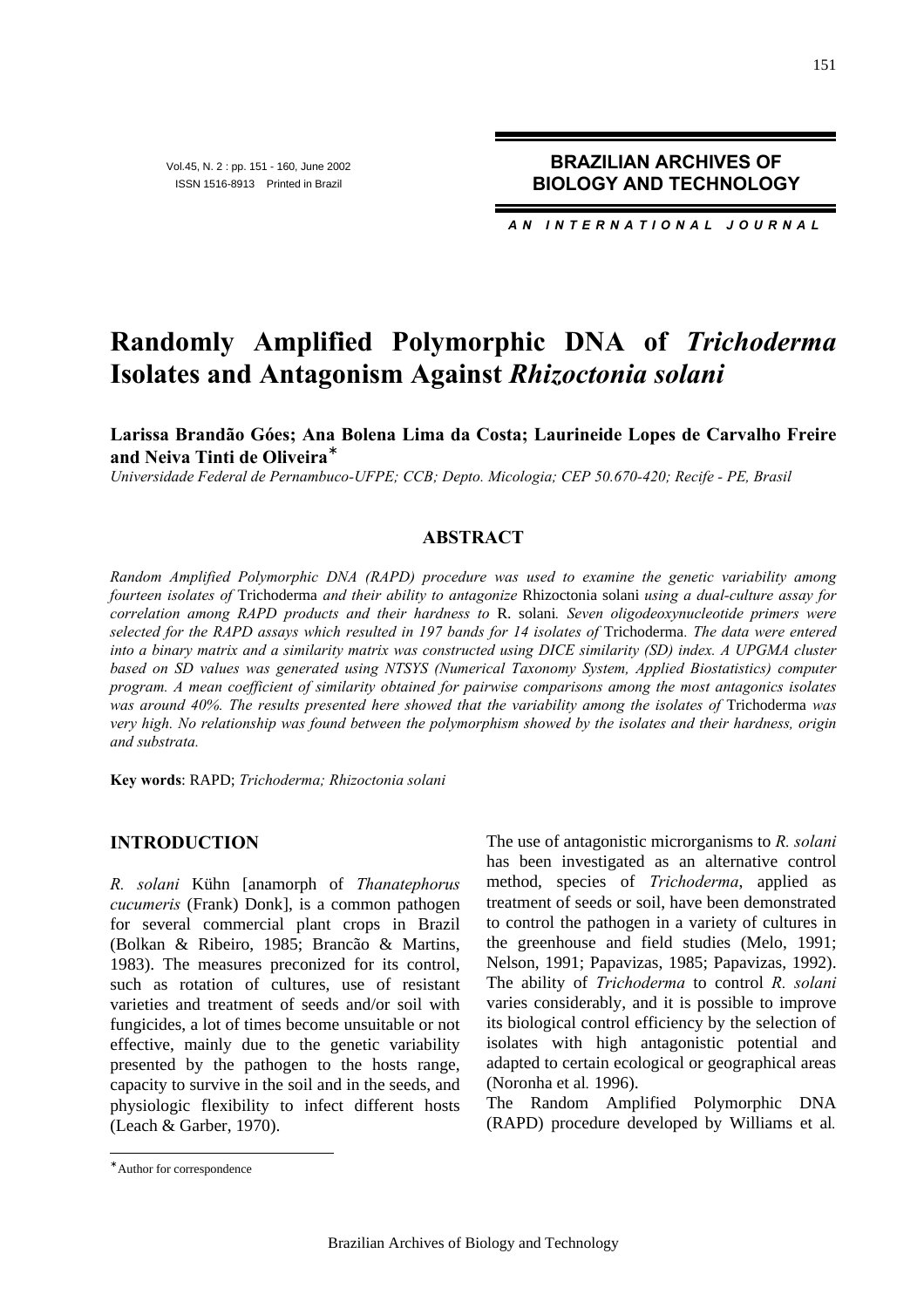Vol.45, N. 2 : pp. 151 - 160, June 2002 ISSN 1516-8913 Printed in Brazil

**BRAZILIAN ARCHIVES OF BIOLOGY AND TECHNOLOGY**

*AN INTERNATIONAL JOURNAL*

# **Randomly Amplified Polymorphic DNA of** *Trichoderma* **Isolates and Antagonism Against** *Rhizoctonia solani*

**Larissa Brandão Góes; Ana Bolena Lima da Costa; Laurineide Lopes de Carvalho Freire and Neiva Tinti de Oliveira**<sup>∗</sup>

*Universidade Federal de Pernambuco-UFPE; CCB; Depto. Micologia; CEP 50.670-420; Recife - PE, Brasil*

## **ABSTRACT**

*Random Amplified Polymorphic DNA (RAPD) procedure was used to examine the genetic variability among fourteen isolates of* Trichoderma *and their ability to antagonize* Rhizoctonia solani *using a dual-culture assay for correlation among RAPD products and their hardness to* R. solani*. Seven oligodeoxynucleotide primers were selected for the RAPD assays which resulted in 197 bands for 14 isolates of* Trichoderma*. The data were entered into a binary matrix and a similarity matrix was constructed using DICE similarity (SD) index. A UPGMA cluster based on SD values was generated using NTSYS (Numerical Taxonomy System, Applied Biostatistics) computer program. A mean coefficient of similarity obtained for pairwise comparisons among the most antagonics isolates was around 40%. The results presented here showed that the variability among the isolates of* Trichoderma *was very high. No relationship was found between the polymorphism showed by the isolates and their hardness, origin and substrata.*

**Key words**: RAPD; *Trichoderma; Rhizoctonia solani*

# **INTRODUCTION**

*R. solani* Kühn [anamorph of *Thanatephorus cucumeris* (Frank) Donk], is a common pathogen for several commercial plant crops in Brazil (Bolkan & Ribeiro, 1985; Brancão & Martins, 1983). The measures preconized for its control, such as rotation of cultures, use of resistant varieties and treatment of seeds and/or soil with fungicides, a lot of times become unsuitable or not effective, mainly due to the genetic variability presented by the pathogen to the hosts range, capacity to survive in the soil and in the seeds, and physiologic flexibility to infect different hosts (Leach & Garber, 1970).

The use of antagonistic microrganisms to *R. solani*  has been investigated as an alternative control method, species of *Trichoderma*, applied as treatment of seeds or soil, have been demonstrated to control the pathogen in a variety of cultures in the greenhouse and field studies (Melo, 1991; Nelson, 1991; Papavizas, 1985; Papavizas, 1992). The ability of *Trichoderma* to control *R. solani* varies considerably, and it is possible to improve its biological control efficiency by the selection of isolates with high antagonistic potential and adapted to certain ecological or geographical areas (Noronha et al*.* 1996).

The Random Amplified Polymorphic DNA (RAPD) procedure developed by Williams et al*.*

 $\overline{a}$ 

<sup>∗</sup> Author for correspondence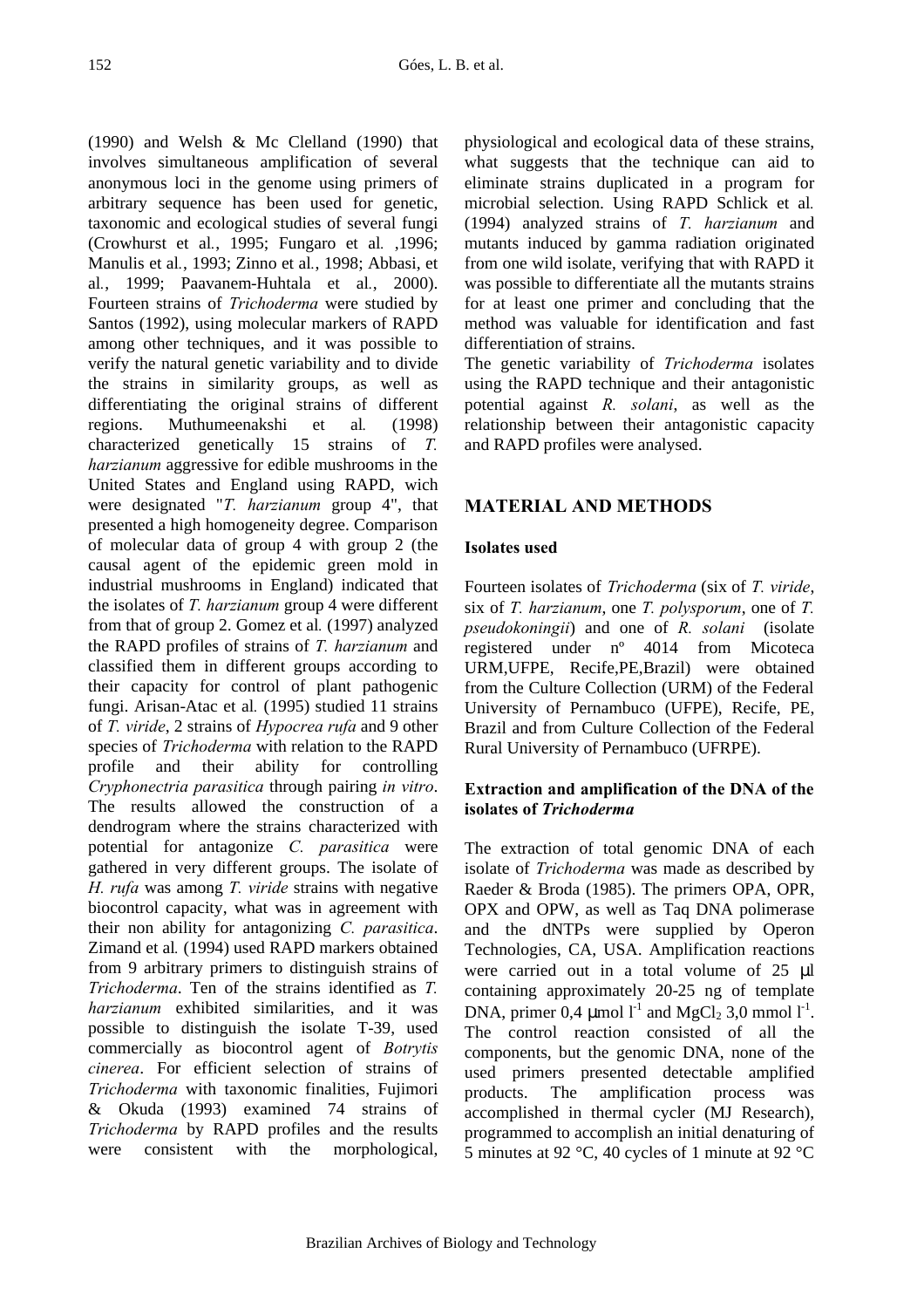(1990) and Welsh & Mc Clelland (1990) that involves simultaneous amplification of several anonymous loci in the genome using primers of arbitrary sequence has been used for genetic, taxonomic and ecological studies of several fungi (Crowhurst et al*.*, 1995; Fungaro et al*.* ,1996; Manulis et al*.*, 1993; Zinno et al*.*, 1998; Abbasi, et al*.*, 1999; Paavanem-Huhtala et al*.*, 2000). Fourteen strains of *Trichoderma* were studied by Santos (1992), using molecular markers of RAPD among other techniques, and it was possible to verify the natural genetic variability and to divide the strains in similarity groups, as well as differentiating the original strains of different regions. Muthumeenakshi et al*.* (1998) characterized genetically 15 strains of *T. harzianum* aggressive for edible mushrooms in the United States and England using RAPD, wich were designated "*T. harzianum* group 4", that presented a high homogeneity degree. Comparison of molecular data of group 4 with group 2 (the causal agent of the epidemic green mold in industrial mushrooms in England) indicated that the isolates of *T. harzianum* group 4 were different from that of group 2. Gomez et al*.* (1997) analyzed the RAPD profiles of strains of *T. harzianum* and classified them in different groups according to their capacity for control of plant pathogenic fungi. Arisan-Atac et al*.* (1995) studied 11 strains of *T. viride*, 2 strains of *Hypocrea rufa* and 9 other species of *Trichoderma* with relation to the RAPD profile and their ability for controlling *Cryphonectria parasitica* through pairing *in vitro*. The results allowed the construction of a dendrogram where the strains characterized with potential for antagonize *C. parasitica* were gathered in very different groups. The isolate of *H. rufa* was among *T. viride* strains with negative biocontrol capacity, what was in agreement with their non ability for antagonizing *C. parasitica*. Zimand et al*.* (1994) used RAPD markers obtained from 9 arbitrary primers to distinguish strains of *Trichoderma*. Ten of the strains identified as *T. harzianum* exhibited similarities, and it was possible to distinguish the isolate T-39, used commercially as biocontrol agent of *Botrytis cinerea*. For efficient selection of strains of *Trichoderma* with taxonomic finalities, Fujimori & Okuda (1993) examined 74 strains of *Trichoderma* by RAPD profiles and the results were consistent with the morphological, physiological and ecological data of these strains, what suggests that the technique can aid to eliminate strains duplicated in a program for microbial selection. Using RAPD Schlick et al*.* (1994) analyzed strains of *T. harzianum* and mutants induced by gamma radiation originated from one wild isolate, verifying that with RAPD it was possible to differentiate all the mutants strains for at least one primer and concluding that the method was valuable for identification and fast differentiation of strains.

The genetic variability of *Trichoderma* isolates using the RAPD technique and their antagonistic potential against *R. solani*, as well as the relationship between their antagonistic capacity and RAPD profiles were analysed.

# **MATERIAL AND METHODS**

# **Isolates used**

Fourteen isolates of *Trichoderma* (six of *T. viride*, six of *T. harzianum*, one *T. polysporum*, one of *T. pseudokoningii*) and one of *R. solani* (isolate registered under nº 4014 from Micoteca URM,UFPE, Recife,PE,Brazil) were obtained from the Culture Collection (URM) of the Federal University of Pernambuco (UFPE), Recife, PE, Brazil and from Culture Collection of the Federal Rural University of Pernambuco (UFRPE).

## **Extraction and amplification of the DNA of the isolates of** *Trichoderma*

The extraction of total genomic DNA of each isolate of *Trichoderma* was made as described by Raeder & Broda (1985). The primers OPA, OPR, OPX and OPW, as well as Taq DNA polimerase and the dNTPs were supplied by Operon Technologies, CA, USA. Amplification reactions were carried out in a total volume of 25 μl containing approximately 20-25 ng of template DNA, primer 0,4  $\mu$ mol l<sup>-1</sup> and MgCl<sub>2</sub> 3,0 mmol l<sup>-1</sup>. The control reaction consisted of all the components, but the genomic DNA, none of the used primers presented detectable amplified products. The amplification process was accomplished in thermal cycler (MJ Research), programmed to accomplish an initial denaturing of 5 minutes at 92 °C, 40 cycles of 1 minute at 92 °C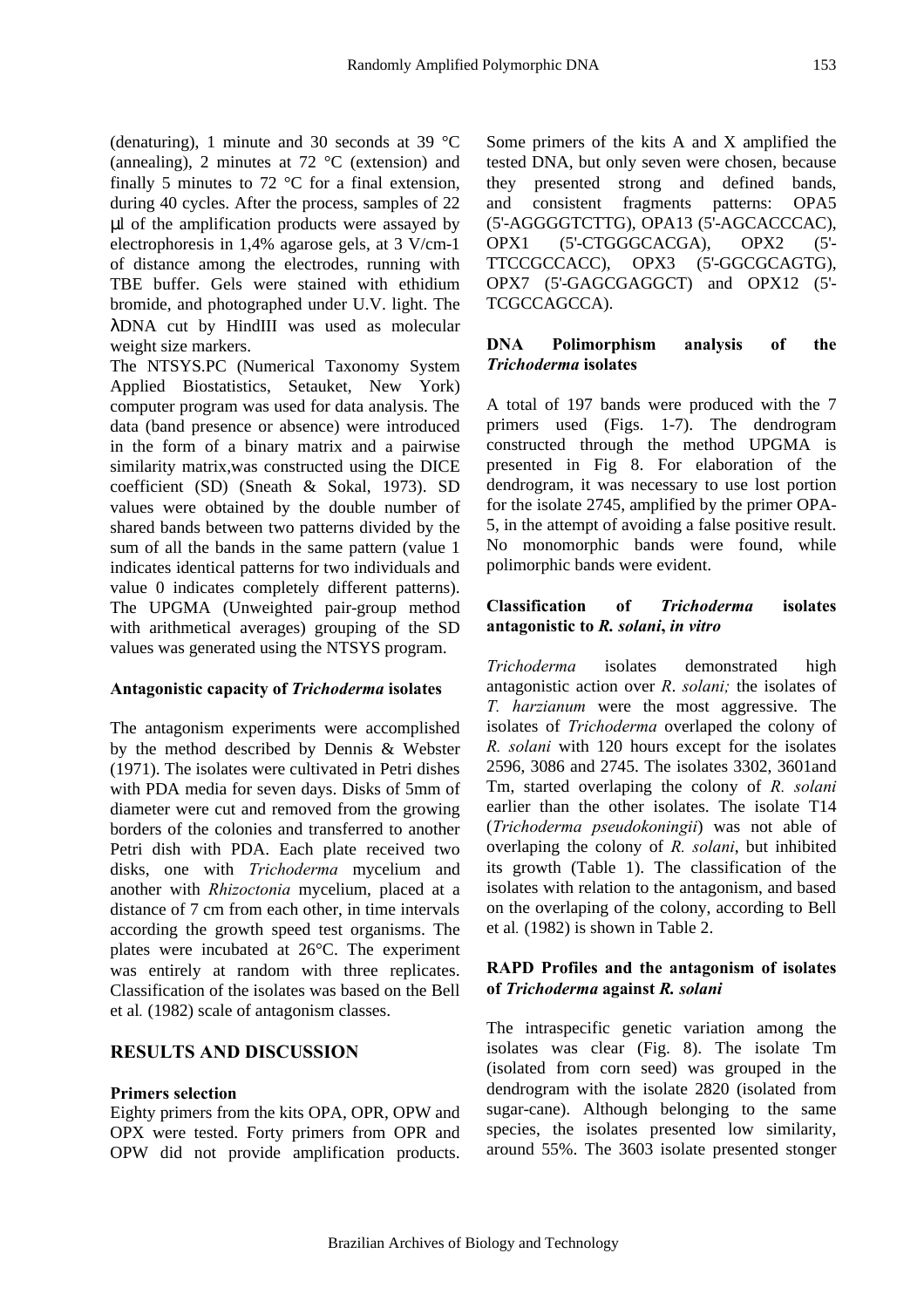(denaturing), 1 minute and 30 seconds at 39 °C (annealing), 2 minutes at 72 °C (extension) and finally 5 minutes to 72  $\degree$ C for a final extension, during 40 cycles. After the process, samples of 22 μl of the amplification products were assayed by electrophoresis in 1,4% agarose gels, at 3 V/cm-1 of distance among the electrodes, running with TBE buffer. Gels were stained with ethidium bromide, and photographed under U.V. light. The λDNA cut by HindIII was used as molecular weight size markers.

The NTSYS.PC (Numerical Taxonomy System Applied Biostatistics, Setauket, New York) computer program was used for data analysis. The data (band presence or absence) were introduced in the form of a binary matrix and a pairwise similarity matrix,was constructed using the DICE coefficient (SD) (Sneath & Sokal, 1973). SD values were obtained by the double number of shared bands between two patterns divided by the sum of all the bands in the same pattern (value 1 indicates identical patterns for two individuals and value 0 indicates completely different patterns). The UPGMA (Unweighted pair-group method with arithmetical averages) grouping of the SD values was generated using the NTSYS program.

#### **Antagonistic capacity of** *Trichoderma* **isolates**

The antagonism experiments were accomplished by the method described by Dennis & Webster (1971). The isolates were cultivated in Petri dishes with PDA media for seven days. Disks of 5mm of diameter were cut and removed from the growing borders of the colonies and transferred to another Petri dish with PDA. Each plate received two disks, one with *Trichoderma* mycelium and another with *Rhizoctonia* mycelium, placed at a distance of 7 cm from each other, in time intervals according the growth speed test organisms. The plates were incubated at 26°C. The experiment was entirely at random with three replicates. Classification of the isolates was based on the Bell et al*.* (1982) scale of antagonism classes.

## **RESULTS AND DISCUSSION**

#### **Primers selection**

Eighty primers from the kits OPA, OPR, OPW and OPX were tested. Forty primers from OPR and OPW did not provide amplification products.

Some primers of the kits A and X amplified the tested DNA, but only seven were chosen, because they presented strong and defined bands, and consistent fragments patterns: OPA5 (5'-AGGGGTCTTG), OPA13 (5'-AGCACCCAC), OPX1 (5'-CTGGGCACGA), OPX2 (5'- TTCCGCCACC), OPX3 (5'-GGCGCAGTG), OPX7 (5'-GAGCGAGGCT) and OPX12 (5'- TCGCCAGCCA).

## **DNA Polimorphism analysis of the** *Trichoderma* **isolates**

A total of 197 bands were produced with the 7 primers used (Figs. 1-7). The dendrogram constructed through the method UPGMA is presented in Fig 8. For elaboration of the dendrogram, it was necessary to use lost portion for the isolate 2745, amplified by the primer OPA-5, in the attempt of avoiding a false positive result. No monomorphic bands were found, while polimorphic bands were evident.

#### **Classification of** *Trichoderma* **isolates antagonistic to** *R. solani***,** *in vitro*

*Trichoderma* isolates demonstrated high antagonistic action over *R*. *solani;* the isolates of *T. harzianum* were the most aggressive. The isolates of *Trichoderma* overlaped the colony of *R. solani* with 120 hours except for the isolates 2596, 3086 and 2745. The isolates 3302, 3601and Tm, started overlaping the colony of *R. solani* earlier than the other isolates. The isolate T14 (*Trichoderma pseudokoningii*) was not able of overlaping the colony of *R. solani*, but inhibited its growth (Table 1). The classification of the isolates with relation to the antagonism, and based on the overlaping of the colony, according to Bell et al*.* (1982) is shown in Table 2.

#### **RAPD Profiles and the antagonism of isolates of** *Trichoderma* **against** *R. solani*

The intraspecific genetic variation among the isolates was clear (Fig. 8). The isolate Tm (isolated from corn seed) was grouped in the dendrogram with the isolate 2820 (isolated from sugar-cane). Although belonging to the same species, the isolates presented low similarity, around 55%. The 3603 isolate presented stonger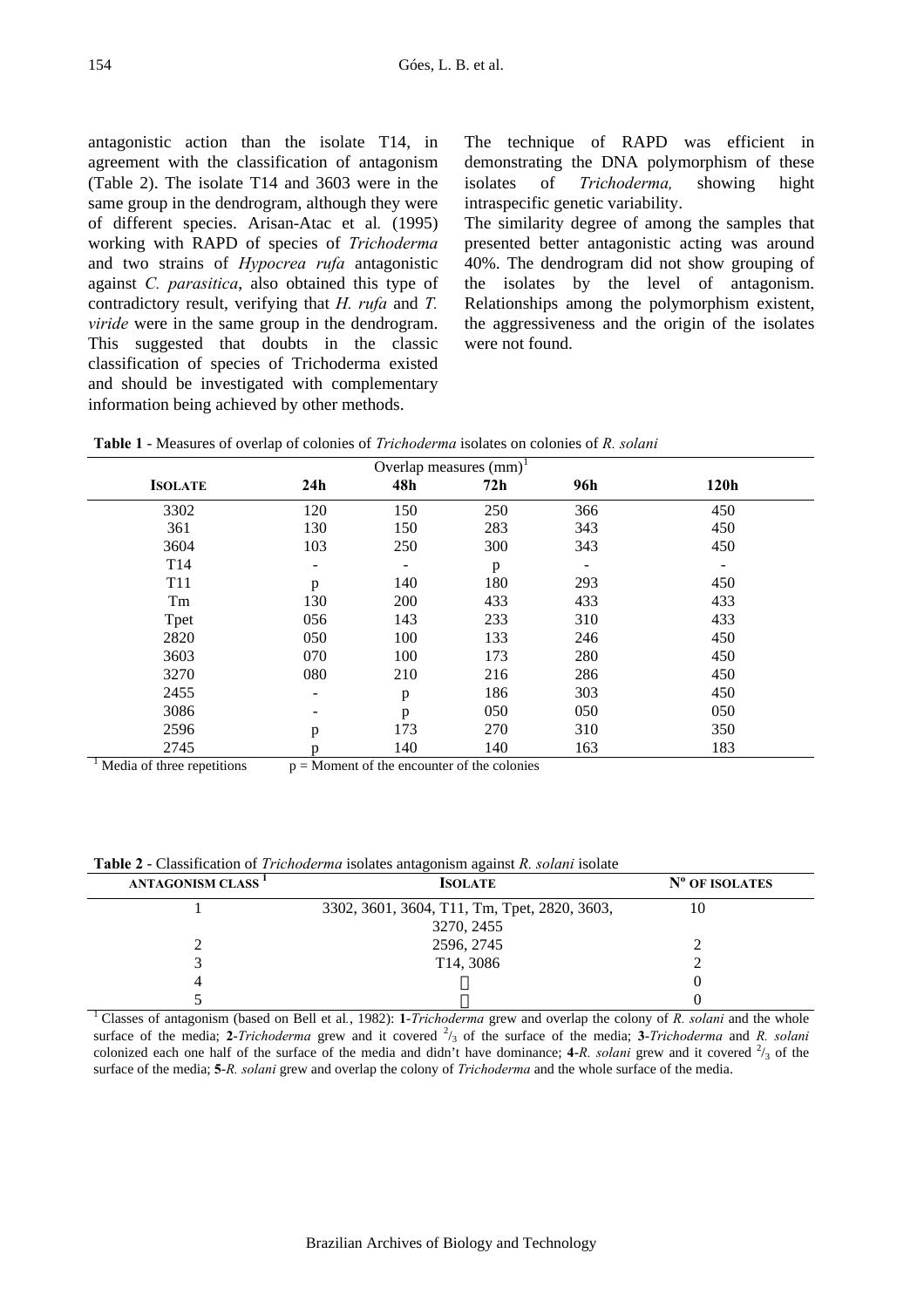antagonistic action than the isolate T14, in agreement with the classification of antagonism (Table 2). The isolate T14 and 3603 were in the same group in the dendrogram, although they were of different species. Arisan-Atac et al*.* (1995) working with RAPD of species of *Trichoderma* and two strains of *Hypocrea rufa* antagonistic against *C. parasitica*, also obtained this type of contradictory result, verifying that *H. rufa* and *T. viride* were in the same group in the dendrogram. This suggested that doubts in the classic classification of species of Trichoderma existed and should be investigated with complementary information being achieved by other methods.

The technique of RAPD was efficient in demonstrating the DNA polymorphism of these isolates of *Trichoderma,* showing hight intraspecific genetic variability.

The similarity degree of among the samples that presented better antagonistic acting was around 40%. The dendrogram did not show grouping of the isolates by the level of antagonism. Relationships among the polymorphism existent, the aggressiveness and the origin of the isolates were not found.

| Overlap measures $(mm)^1$ |     |     |     |     |      |  |  |
|---------------------------|-----|-----|-----|-----|------|--|--|
| <b>ISOLATE</b>            | 24h | 48h | 72h | 96h | 120h |  |  |
| 3302                      | 120 | 150 | 250 | 366 | 450  |  |  |
| 361                       | 130 | 150 | 283 | 343 | 450  |  |  |
| 3604                      | 103 | 250 | 300 | 343 | 450  |  |  |
| T <sub>14</sub>           | -   |     | p   |     |      |  |  |
| T <sub>11</sub>           | p   | 140 | 180 | 293 | 450  |  |  |
| Tm                        | 130 | 200 | 433 | 433 | 433  |  |  |
| Tpet                      | 056 | 143 | 233 | 310 | 433  |  |  |
| 2820                      | 050 | 100 | 133 | 246 | 450  |  |  |
| 3603                      | 070 | 100 | 173 | 280 | 450  |  |  |
| 3270                      | 080 | 210 | 216 | 286 | 450  |  |  |
| 2455                      | -   | p   | 186 | 303 | 450  |  |  |
| 3086                      |     | p   | 050 | 050 | 050  |  |  |
| 2596                      | p   | 173 | 270 | 310 | 350  |  |  |
| 2745                      | p   | 140 | 140 | 163 | 183  |  |  |

**Table 1** - Measures of overlap of colonies of *Trichoderma* isolates on colonies of *R. solani*

 $\frac{1}{1}$  Media of three repetitions  $p =$ Moment of the encounter of the colonies

| Table 2 - Classification of Trichoderma isolates antagonism against R. solani isolate |  |  |
|---------------------------------------------------------------------------------------|--|--|
|                                                                                       |  |  |

| <b>ANTAGONISM CLASS<sup>1</sup></b> | <b>ISOLATE</b>                               | N° OF ISOLATES |
|-------------------------------------|----------------------------------------------|----------------|
|                                     | 3302, 3601, 3604, T11, Tm, Tpet, 2820, 3603, |                |
|                                     | 3270, 2455                                   |                |
|                                     | 2596, 2745                                   |                |
|                                     | T <sub>14</sub> , 3086                       |                |
|                                     |                                              |                |
|                                     |                                              |                |

<sup>1</sup>Classes of antagonism (based on Bell et al*.*, 1982): **1**-*Trichoderma* grew and overlap the colony of *R. solani* and the whole surface of the media; 2-*Trichoderma* grew and it covered  $\frac{2}{3}$  of the surface of the media; 3-*Trichoderma* and *R. solani* colonized each one half of the surface of the media and didn't have dominance;  $4-R$ . *solani* grew and it covered  $\frac{2}{3}$  of the surface of the media; **5**-*R. solani* grew and overlap the colony of *Trichoderma* and the whole surface of the media.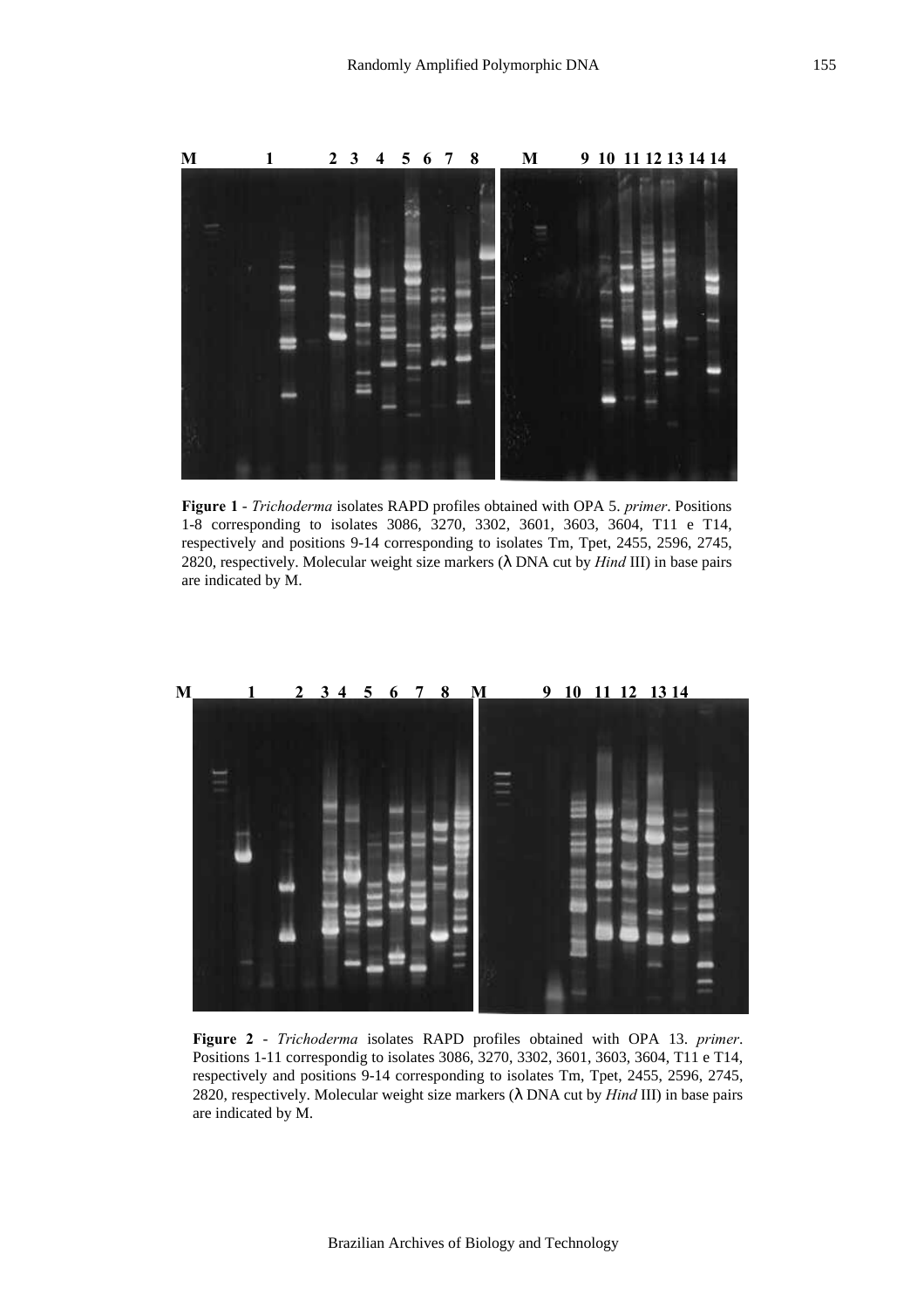

**Figure 1** - *Trichoderma* isolates RAPD profiles obtained with OPA 5. *primer*. Positions 1-8 corresponding to isolates 3086, 3270, 3302, 3601, 3603, 3604, T11 e T14, respectively and positions 9-14 corresponding to isolates Tm, Tpet, 2455, 2596, 2745, 2820, respectively. Molecular weight size markers (λ DNA cut by *Hind* III) in base pairs are indicated by M.



**Figure 2** - *Trichoderma* isolates RAPD profiles obtained with OPA 13. *primer*. Positions 1-11 correspondig to isolates 3086, 3270, 3302, 3601, 3603, 3604, T11 e T14, respectively and positions 9-14 corresponding to isolates Tm, Tpet, 2455, 2596, 2745, 2820, respectively. Molecular weight size markers (λ DNA cut by *Hind* III) in base pairs are indicated by M.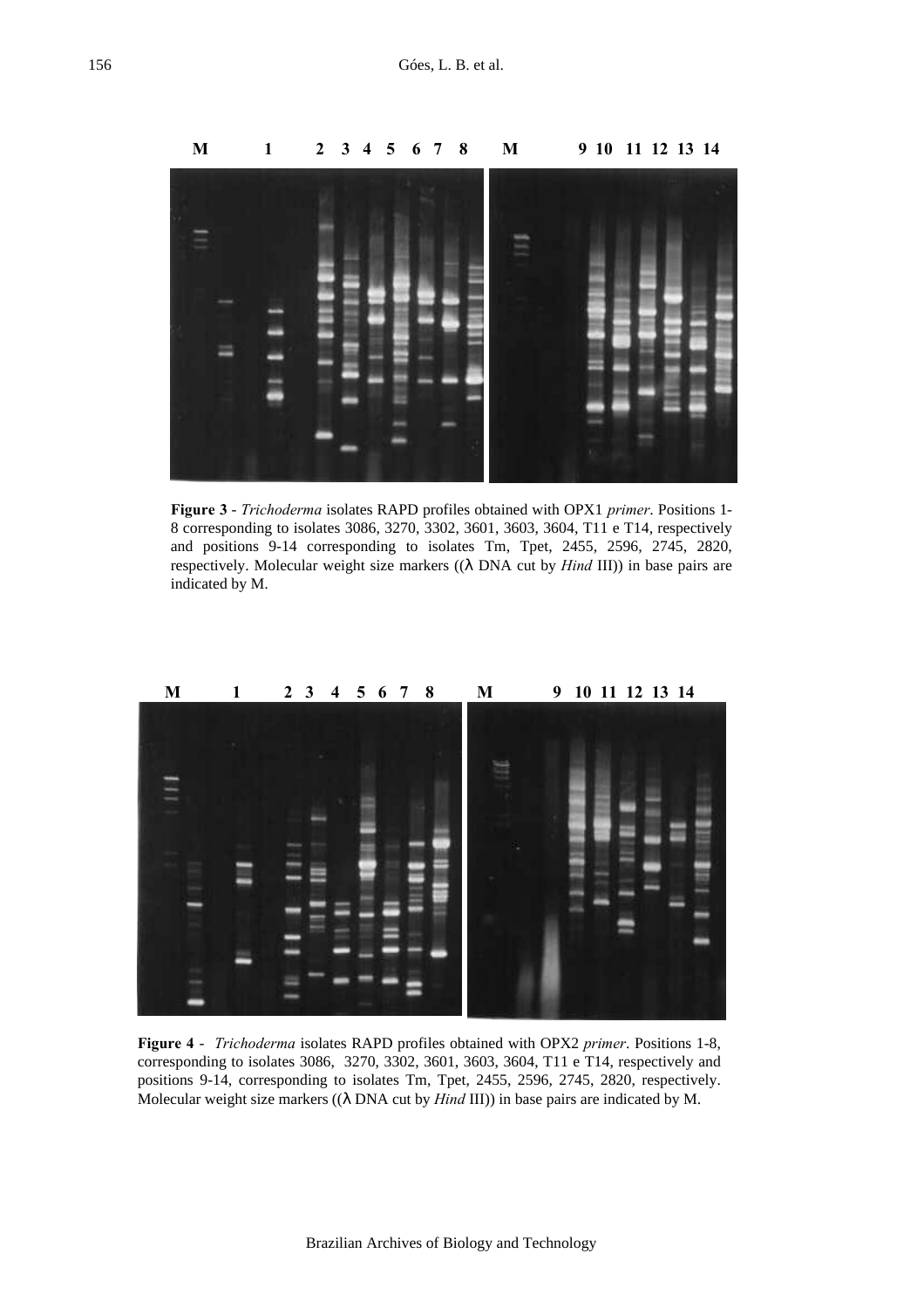

**Figure 3** - *Trichoderma* isolates RAPD profiles obtained with OPX1 *primer*. Positions 1- 8 corresponding to isolates 3086, 3270, 3302, 3601, 3603, 3604, T11 e T14, respectively and positions 9-14 corresponding to isolates Tm, Tpet, 2455, 2596, 2745, 2820, respectively. Molecular weight size markers ((λ DNA cut by *Hind* III)) in base pairs are indicated by M.



**Figure 4** - *Trichoderma* isolates RAPD profiles obtained with OPX2 *primer*. Positions 1-8, corresponding to isolates 3086, 3270, 3302, 3601, 3603, 3604, T11 e T14, respectively and positions 9-14, corresponding to isolates Tm, Tpet, 2455, 2596, 2745, 2820, respectively. Molecular weight size markers ((λ DNA cut by *Hind* III)) in base pairs are indicated by M.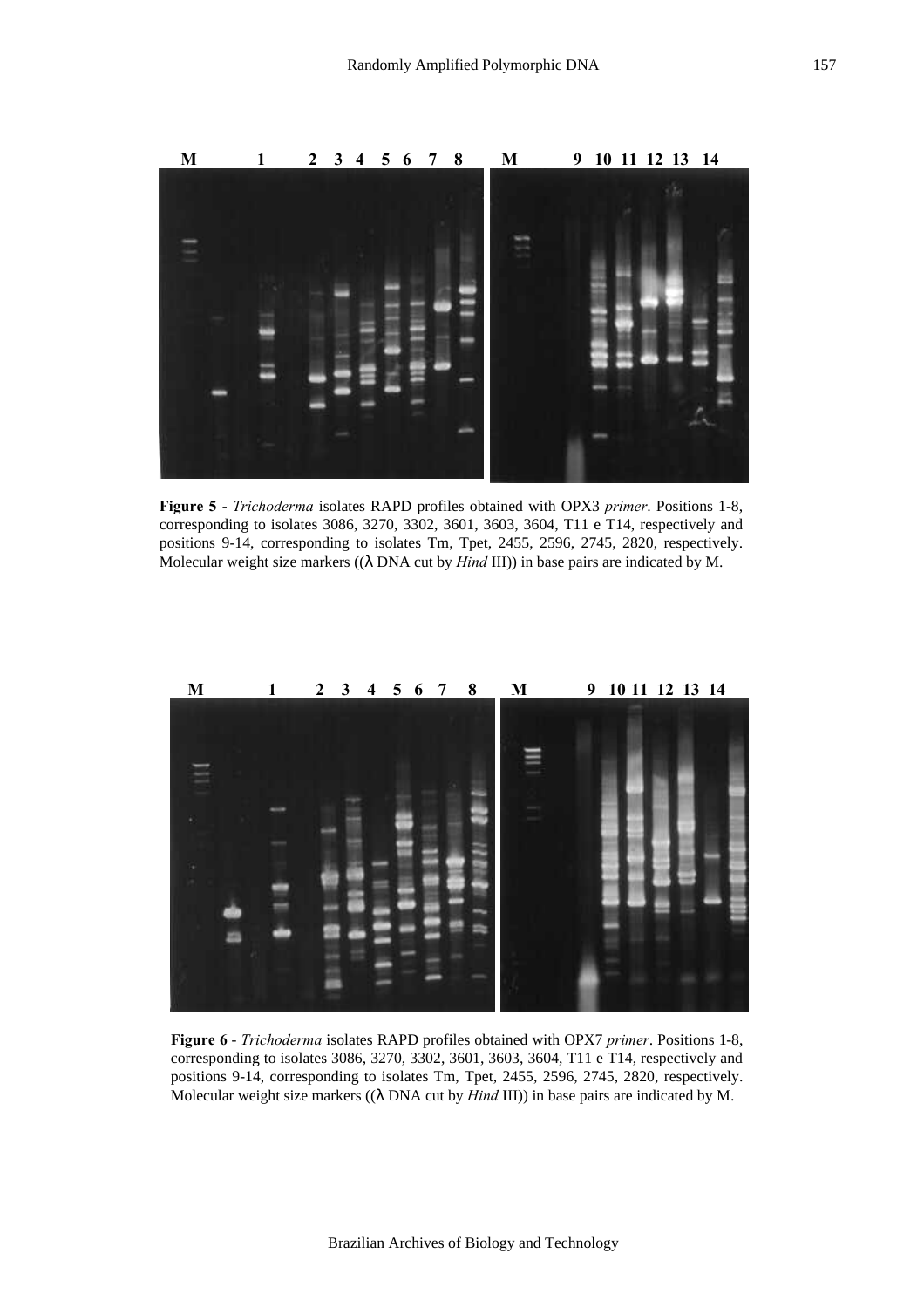

**Figure 5** - *Trichoderma* isolates RAPD profiles obtained with OPX3 *primer*. Positions 1-8, corresponding to isolates 3086, 3270, 3302, 3601, 3603, 3604, T11 e T14, respectively and positions 9-14, corresponding to isolates Tm, Tpet, 2455, 2596, 2745, 2820, respectively. Molecular weight size markers ((λ DNA cut by *Hind* III)) in base pairs are indicated by M.



**Figure 6** - *Trichoderma* isolates RAPD profiles obtained with OPX7 *primer*. Positions 1-8, corresponding to isolates 3086, 3270, 3302, 3601, 3603, 3604, T11 e T14, respectively and positions 9-14, corresponding to isolates Tm, Tpet, 2455, 2596, 2745, 2820, respectively. Molecular weight size markers ((λ DNA cut by *Hind* III)) in base pairs are indicated by M.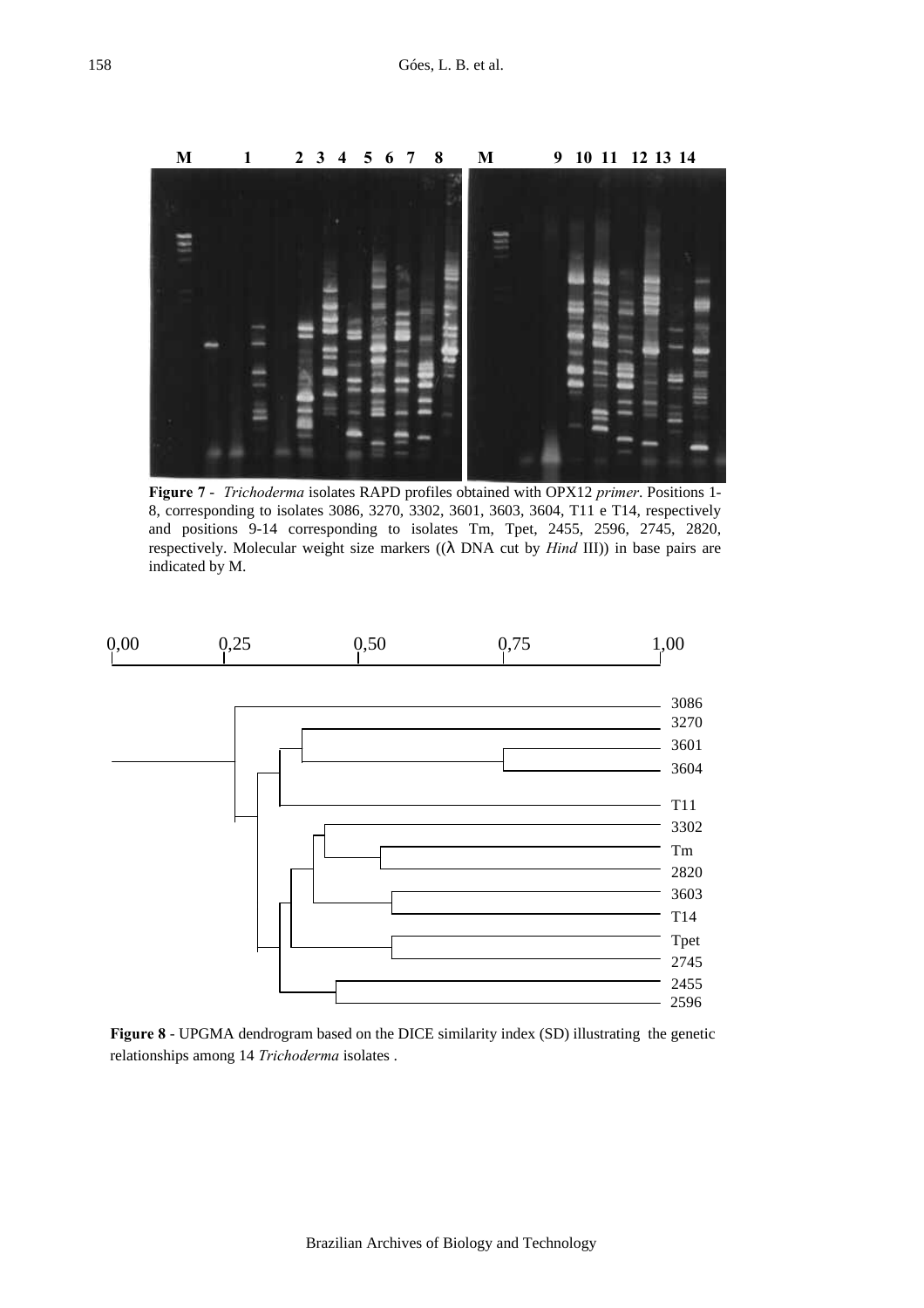

**Figure 7** - *Trichoderma* isolates RAPD profiles obtained with OPX12 *primer*. Positions 1- 8, corresponding to isolates 3086, 3270, 3302, 3601, 3603, 3604, T11 e T14, respectively and positions 9-14 corresponding to isolates Tm, Tpet, 2455, 2596, 2745, 2820, respectively. Molecular weight size markers ((λ DNA cut by *Hind* III)) in base pairs are indicated by M.



**Figure 8** - UPGMA dendrogram based on the DICE similarity index (SD) illustrating the genetic relationships among 14 *Trichoderma* isolates .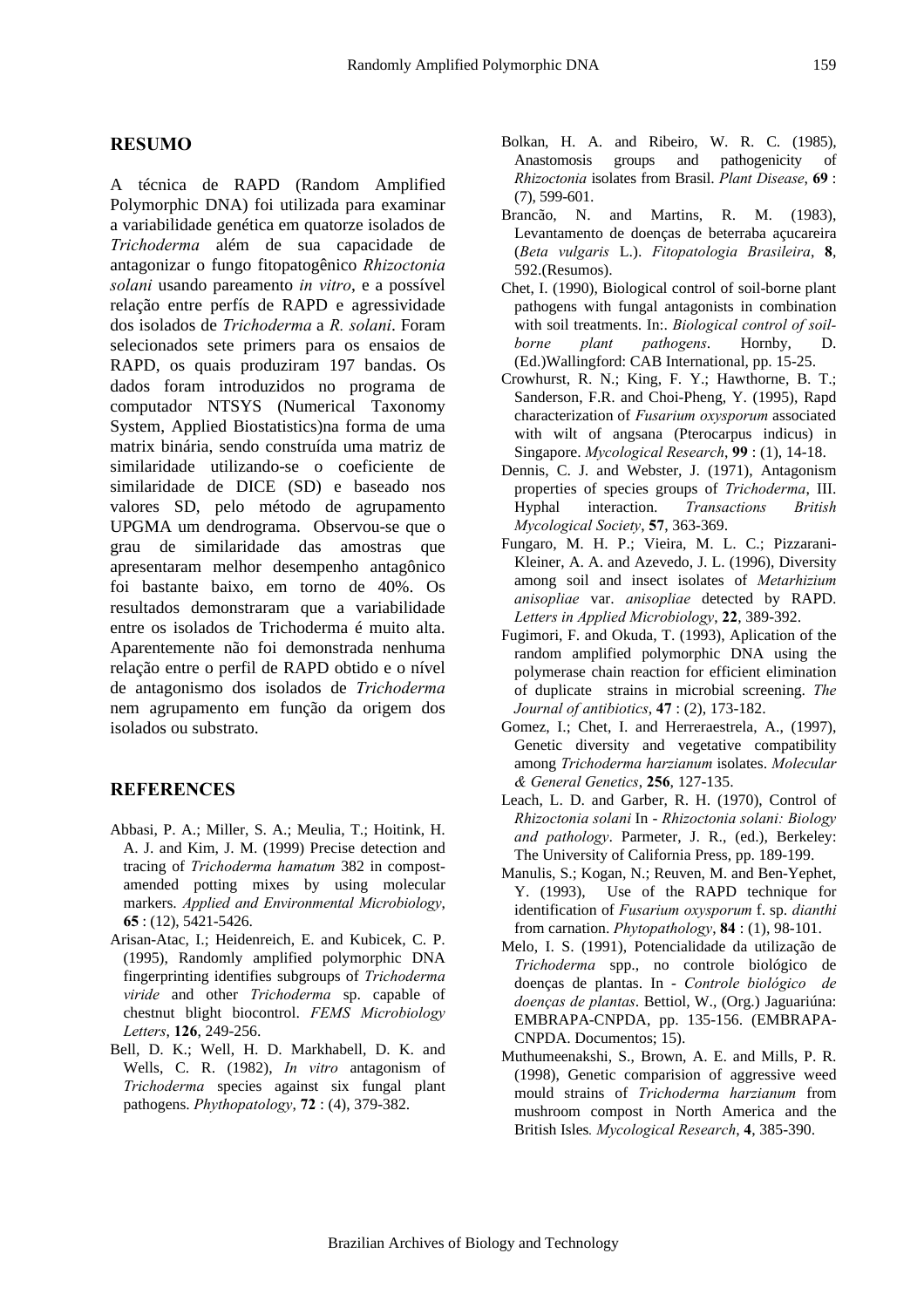#### **RESUMO**

A técnica de RAPD (Random Amplified Polymorphic DNA) foi utilizada para examinar a variabilidade genética em quatorze isolados de *Trichoderma* além de sua capacidade de antagonizar o fungo fitopatogênico *Rhizoctonia solani* usando pareamento *in vitro*, e a possível relação entre perfís de RAPD e agressividade dos isolados de *Trichoderma* a *R. solani*. Foram selecionados sete primers para os ensaios de RAPD, os quais produziram 197 bandas. Os dados foram introduzidos no programa de computador NTSYS (Numerical Taxonomy System, Applied Biostatistics)na forma de uma matrix binária, sendo construída uma matriz de similaridade utilizando-se o coeficiente de similaridade de DICE (SD) e baseado nos valores SD, pelo método de agrupamento UPGMA um dendrograma. Observou-se que o grau de similaridade das amostras que apresentaram melhor desempenho antagônico foi bastante baixo, em torno de 40%. Os resultados demonstraram que a variabilidade entre os isolados de Trichoderma é muito alta. Aparentemente não foi demonstrada nenhuma relação entre o perfil de RAPD obtido e o nível de antagonismo dos isolados de *Trichoderma* nem agrupamento em função da origem dos isolados ou substrato.

## **REFERENCES**

- Abbasi, P. A.; Miller, S. A.; Meulia, T.; Hoitink, H. A. J. and Kim, J. M. (1999) Precise detection and tracing of *Trichoderma hamatum* 382 in compostamended potting mixes by using molecular markers. *Applied and Environmental Microbiology*, **65** : (12), 5421-5426.
- Arisan-Atac, I.; Heidenreich, E. and Kubicek, C. P. (1995), Randomly amplified polymorphic DNA fingerprinting identifies subgroups of *Trichoderma viride* and other *Trichoderma* sp. capable of chestnut blight biocontrol. *FEMS Microbiology Letters*, **126**, 249-256.
- Bell, D. K.; Well, H. D. Markhabell, D. K. and Wells, C. R. (1982), *In vitro* antagonism of *Trichoderma* species against six fungal plant pathogens. *Phythopatology*, **72** : (4), 379-382.
- Bolkan, H. A. and Ribeiro, W. R. C. (1985), Anastomosis groups and pathogenicity of *Rhizoctonia* isolates from Brasil. *Plant Disease*, **69** : (7), 599-601.
- Brancão, N. and Martins, R. M. (1983), Levantamento de doenças de beterraba açucareira (*Beta vulgaris* L.). *Fitopatologia Brasileira*, **8**, 592.(Resumos).
- Chet, I. (1990), Biological control of soil-borne plant pathogens with fungal antagonists in combination with soil treatments. In:. *Biological control of soilborne plant pathogens*. Hornby, D. (Ed.)Wallingford: CAB International, pp. 15-25.
- Crowhurst, R. N.; King, F. Y.; Hawthorne, B. T.; Sanderson, F.R. and Choi-Pheng, Y. (1995), Rapd characterization of *Fusarium oxysporum* associated with wilt of angsana (Pterocarpus indicus) in Singapore. *Mycological Research*, **99** : (1), 14-18.
- Dennis, C. J. and Webster, J. (1971), Antagonism properties of species groups of *Trichoderma*, III. Hyphal interaction. *Transactions British Mycological Society*, **57**, 363-369.
- Fungaro, M. H. P.; Vieira, M. L. C.; Pizzarani-Kleiner, A. A. and Azevedo, J. L. (1996), Diversity among soil and insect isolates of *Metarhizium anisopliae* var. *anisopliae* detected by RAPD. *Letters in Applied Microbiology*, **22**, 389-392.
- Fugimori, F. and Okuda, T. (1993), Aplication of the random amplified polymorphic DNA using the polymerase chain reaction for efficient elimination of duplicate strains in microbial screening. *The Journal of antibiotics*, **47** : (2), 173-182.
- Gomez, I.; Chet, I. and Herreraestrela, A., (1997), Genetic diversity and vegetative compatibility among *Trichoderma harzianum* isolates. *Molecular & General Genetics*, **256**, 127-135.
- Leach, L. D. and Garber, R. H. (1970), Control of *Rhizoctonia solani* In - *Rhizoctonia solani: Biology and pathology*. Parmeter, J. R., (ed.), Berkeley: The University of California Press, pp. 189-199.
- Manulis, S.; Kogan, N.; Reuven, M. and Ben-Yephet, Y. (1993), Use of the RAPD technique for identification of *Fusarium oxysporum* f. sp. *dianthi* from carnation. *Phytopathology*, **84** : (1), 98-101.
- Melo, I. S. (1991), Potencialidade da utilização de *Trichoderma* spp., no controle biológico de doenças de plantas. In - *Controle biológico de doenças de plantas*. Bettiol, W., (Org.) Jaguariúna: EMBRAPA-CNPDA, pp. 135-156. (EMBRAPA-CNPDA. Documentos; 15).
- Muthumeenakshi, S., Brown, A. E. and Mills, P. R. (1998), Genetic comparision of aggressive weed mould strains of *Trichoderma harzianum* from mushroom compost in North America and the British Isles*. Mycological Research*, **4**, 385-390.